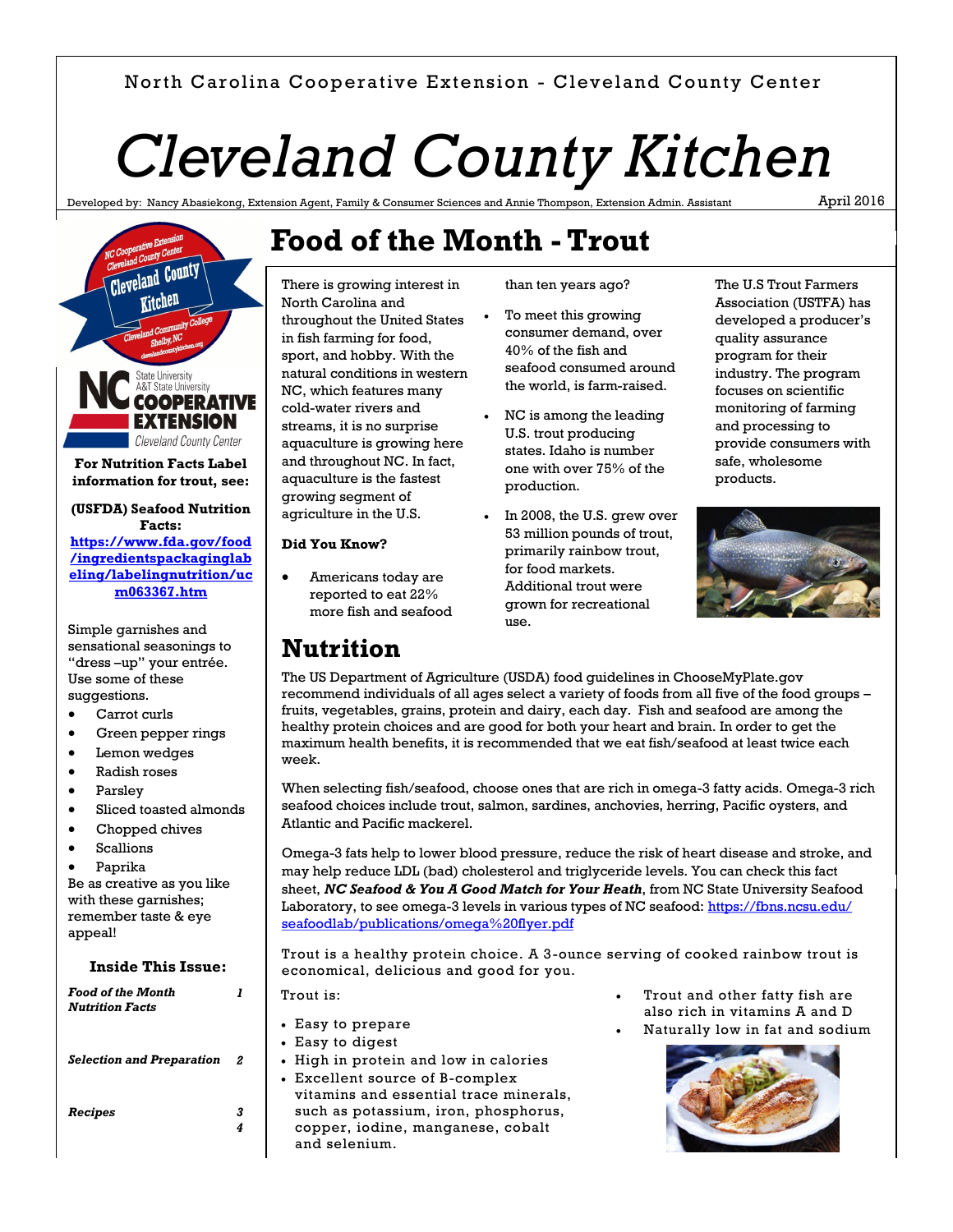# North Carolina Cooperative Extension - Cleveland County Center

# *Cleveland County Kitchen*

**Food of the Month - Trout**

Developed by: Nancy Abasiekong, Extension Agent, Family & Consumer Sciences and Annie Thompson, Extension Admin. Assistant

There is growing interest in

throughout the United States in fish farming for food, sport, and hobby. With the natural conditions in western NC, which features many cold-water rivers and streams, it is no surprise aquaculture is growing here and throughout NC. In fact, aquaculture is the fastest growing segment of agriculture in the U.S.

North Carolina and

**Did You Know?**

**Nutrition**

 Americans today are reported to eat 22% more fish and seafood April 2016



**Facts: [https://www.fda.gov/food](https://www.fda.gov/food/ingredientspackaginglabeling/labelingnutrition/ucm063367.htm) [/ingredientspackaginglab](https://www.fda.gov/food/ingredientspackaginglabeling/labelingnutrition/ucm063367.htm) [eling/labelingnutrition/uc](https://www.fda.gov/food/ingredientspackaginglabeling/labelingnutrition/ucm063367.htm) [m063367.htm](https://www.fda.gov/food/ingredientspackaginglabeling/labelingnutrition/ucm063367.htm)**

Simple garnishes and sensational seasonings to "dress –up" your entrée. Use some of these suggestions.

- Carrot curls
- Green pepper rings
- **•** Lemon wedges
- Radish roses
- Parsley
- Sliced toasted almonds
- Chopped chives
- Scallions

Paprika

Be as creative as you like with these garnishes; remember taste & eye appeal!

**Inside This Issue:**

#### *Food of the Month Nutrition Facts 1 Selection and Preparation 2 Recipes 3 4* Trout is: Easy to prepare Easy to digest High in protein and low in calories Excellent source of B-complex vitamins and essential trace minerals, such as potassium, iron, phosphorus, copper, iodine, manganese, cobalt and selenium.

than ten years ago?

- To meet this growing consumer demand, over 40% of the fish and seafood consumed around the world, is farm-raised.
- NC is among the leading U.S. trout producing states. Idaho is number one with over 75% of the production.
- In 2008, the U.S. grew over 53 million pounds of trout, primarily rainbow trout, for food markets. Additional trout were grown for recreational use.

The U.S Trout Farmers Association (USTFA) has developed a producer's quality assurance program for their industry. The program focuses on scientific monitoring of farming and processing to provide consumers with safe, wholesome products.



The US Department of Agriculture (USDA) food guidelines in ChooseMyPlate.gov recommend individuals of all ages select a variety of foods from all five of the food groups – fruits, vegetables, grains, protein and dairy, each day. Fish and seafood are among the healthy protein choices and are good for both your heart and brain. In order to get the maximum health benefits, it is recommended that we eat fish/seafood at least twice each week.

When selecting fish/seafood, choose ones that are rich in omega-3 fatty acids. Omega-3 rich seafood choices include trout, salmon, sardines, anchovies, herring, Pacific oysters, and Atlantic and Pacific mackerel.

Omega-3 fats help to lower blood pressure, reduce the risk of heart disease and stroke, and may help reduce LDL (bad) cholesterol and triglyceride levels. You can check this fact sheet, *NC Seafood & You A Good Match for Your Heath*, from NC State University Seafood Laboratory, to see omega-3 levels in various types of NC seafood: [https://fbns.ncsu.edu/](https://fbns.ncsu.edu/seafoodlab/publications/omega%20flyer.pdf) [seafoodlab/publications/omega%20flyer.pdf](https://fbns.ncsu.edu/seafoodlab/publications/omega%20flyer.pdf)

Trout is a healthy protein choice. A 3-ounce serving of cooked rainbow trout is economical, delicious and good for you.

> Trout and other fatty fish are also rich in vitamins A and D

Naturally low in fat and sodium

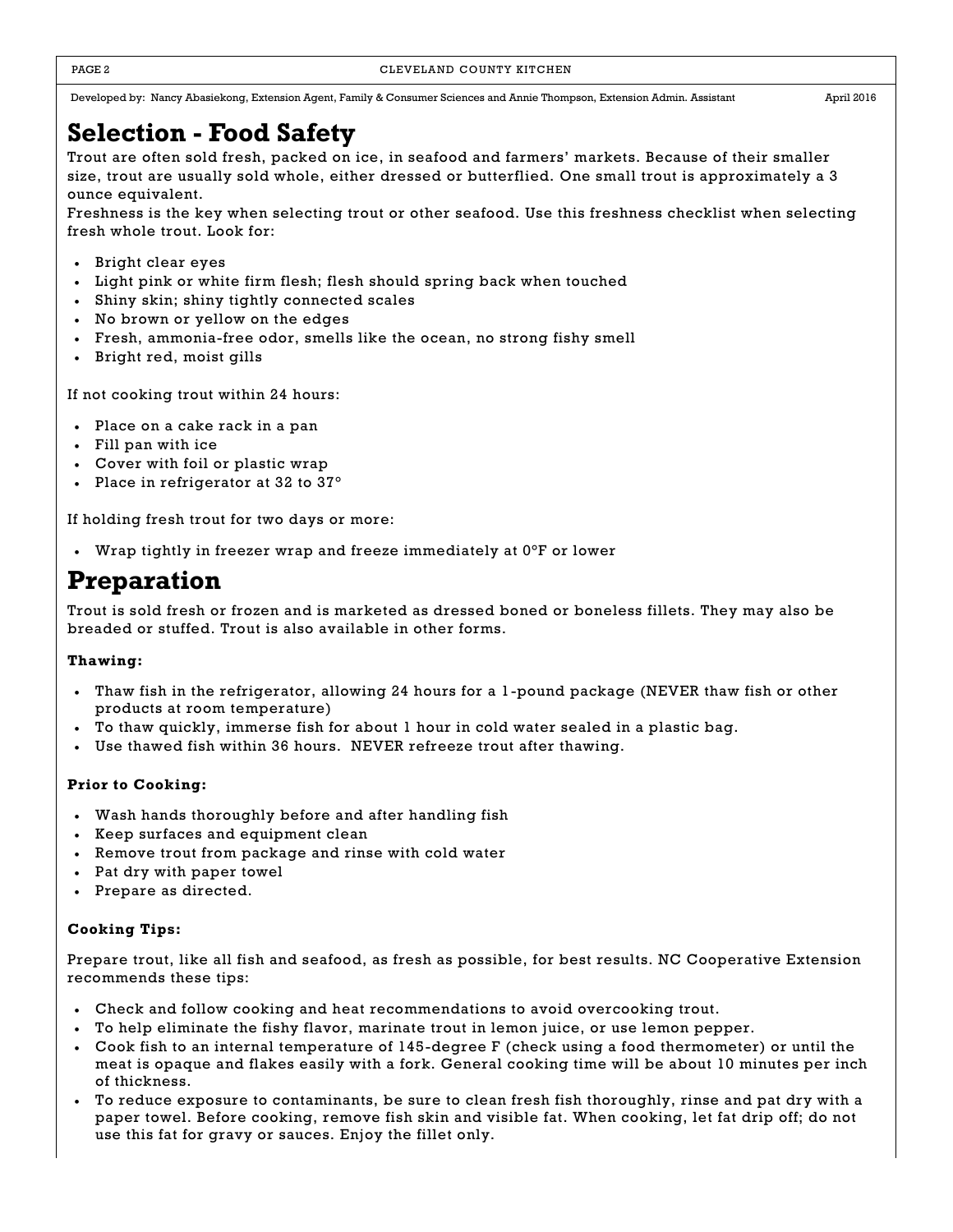#### PAGE 2 CLEVELAND COUNTY KITCHEN

Developed by: Nancy Abasiekong, Extension Agent, Family & Consumer Sciences and Annie Thompson, Extension Admin. Assistant April 2016

# **Selection - Food Safety**

Trout are often sold fresh, packed on ice, in seafood and farmers' markets. Because of their smaller size, trout are usually sold whole, either dressed or butterflied. One small trout is approximately a 3 ounce equivalent.

Freshness is the key when selecting trout or other seafood. Use this freshness checklist when selecting fresh whole trout. Look for:

- Bright clear eyes
- Light pink or white firm flesh; flesh should spring back when touched
- Shiny skin; shiny tightly connected scales
- No brown or yellow on the edges
- Fresh, ammonia-free odor, smells like the ocean, no strong fishy smell
- Bright red, moist gills

If not cooking trout within 24 hours:

- Place on a cake rack in a pan
- Fill pan with ice
- Cover with foil or plastic wrap
- Place in refrigerator at 32 to 37°

If holding fresh trout for two days or more:

Wrap tightly in freezer wrap and freeze immediately at 0°F or lower

# **Preparation**

Trout is sold fresh or frozen and is marketed as dressed boned or boneless fillets. They may also be breaded or stuffed. Trout is also available in other forms.

### **Thawing:**

- Thaw fish in the refrigerator, allowing 24 hours for a 1-pound package (NEVER thaw fish or other products at room temperature)
- To thaw quickly, immerse fish for about 1 hour in cold water sealed in a plastic bag.
- Use thawed fish within 36 hours. NEVER refreeze trout after thawing.

## **Prior to Cooking:**

- Wash hands thoroughly before and after handling fish
- Keep surfaces and equipment clean
- Remove trout from package and rinse with cold water
- Pat dry with paper towel
- Prepare as directed.

## **Cooking Tips:**

Prepare trout, like all fish and seafood, as fresh as possible, for best results. NC Cooperative Extension recommends these tips:

- Check and follow cooking and heat recommendations to avoid overcooking trout.
- To help eliminate the fishy flavor, marinate trout in lemon juice, or use lemon pepper.
- Cook fish to an internal temperature of 145-degree F (check using a food thermometer) or until the meat is opaque and flakes easily with a fork. General cooking time will be about 10 minutes per inch of thickness.
- To reduce exposure to contaminants, be sure to clean fresh fish thoroughly, rinse and pat dry with a paper towel. Before cooking, remove fish skin and visible fat. When cooking, let fat drip off; do not use this fat for gravy or sauces. Enjoy the fillet only.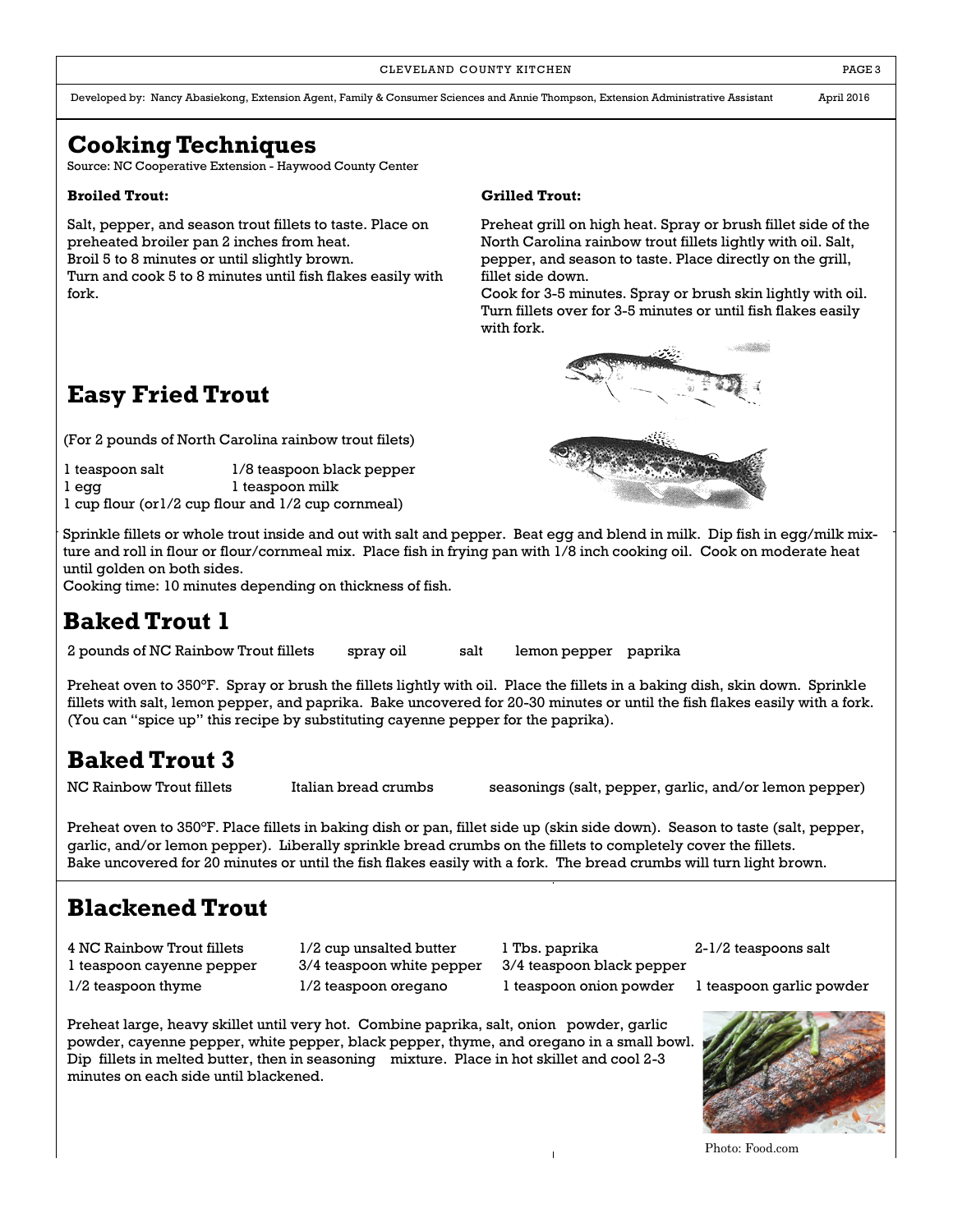#### CLEVELAND COUNTY KITCHEN **EXECUTE A RESISTENT COUNTY KITCHEN**

Developed by: Nancy Abasiekong, Extension Agent, Family & Consumer Sciences and Annie Thompson, Extension Administrative Assistant April 2016

# **Cooking Techniques**

Source: NC Cooperative Extension - Haywood County Center

#### **Broiled Trout:**

Salt, pepper, and season trout fillets to taste. Place on preheated broiler pan 2 inches from heat. Broil 5 to 8 minutes or until slightly brown.

Turn and cook 5 to 8 minutes until fish flakes easily with fork.

### **Grilled Trout:**

Preheat grill on high heat. Spray or brush fillet side of the North Carolina rainbow trout fillets lightly with oil. Salt, pepper, and season to taste. Place directly on the grill, fillet side down.

Cook for 3-5 minutes. Spray or brush skin lightly with oil. Turn fillets over for 3-5 minutes or until fish flakes easily with fork.



# **Easy Fried Trout**

(For 2 pounds of North Carolina rainbow trout filets)

1 teaspoon salt 1/8 teaspoon black pepper 1 egg 1 teaspoon milk 1 cup flour (or1/2 cup flour and 1/2 cup cornmeal)

Sprinkle fillets or whole trout inside and out with salt and pepper. Beat egg and blend in milk. Dip fish in egg/milk mixture and roll in flour or flour/cornmeal mix. Place fish in frying pan with 1/8 inch cooking oil. Cook on moderate heat until golden on both sides.

Cooking time: 10 minutes depending on thickness of fish.

# **Baked Trout 1**

2 pounds of NC Rainbow Trout fillets spray oil salt lemon pepper paprika

Preheat oven to 350°F. Spray or brush the fillets lightly with oil. Place the fillets in a baking dish, skin down. Sprinkle fillets with salt, lemon pepper, and paprika. Bake uncovered for 20-30 minutes or until the fish flakes easily with a fork. (You can "spice up" this recipe by substituting cayenne pepper for the paprika).

# **Baked Trout 3**

NC Rainbow Trout fillets Italian bread crumbs seasonings (salt, pepper, garlic, and/or lemon pepper)

Preheat oven to 350°F. Place fillets in baking dish or pan, fillet side up (skin side down). Season to taste (salt, pepper, garlic, and/or lemon pepper). Liberally sprinkle bread crumbs on the fillets to completely cover the fillets. Bake uncovered for 20 minutes or until the fish flakes easily with a fork. The bread crumbs will turn light brown.

# **Blackened Trout**

4 NC Rainbow Trout fillets 1/2 cup unsalted butter 1 Tbs. paprika 2-1/2 teaspoons salt

1 teaspoon cayenne pepper 3/4 teaspoon white pepper 3/4 teaspoon black pepper 1/2 teaspoon thyme 1/2 teaspoon oregano 1 teaspoon onion powder 1 teaspoon garlic powder

Preheat large, heavy skillet until very hot. Combine paprika, salt, onion powder, garlic powder, cayenne pepper, white pepper, black pepper, thyme, and oregano in a small bowl. Dip fillets in melted butter, then in seasoning mixture. Place in hot skillet and cool 2-3 minutes on each side until blackened.



Photo: Food.com